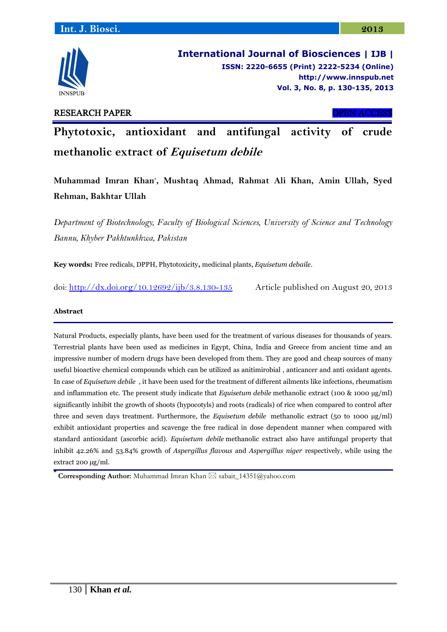

**International Journal of Biosciences | IJB | ISSN: 2220-6655 (Print) 2222-5234 (Online) [http://www.](http://www/)innspub.net Vol. 3, No. 8, p. 130-135, 2013**

## RESEARCH PAPER OPEN ACCESS

**Phytotoxic, antioxidant and antifungal activity of crude methanolic extract of Equisetum debile**

**Muhammad Imran Khan\* , Mushtaq Ahmad, Rahmat Ali Khan, Amin Ullah, Syed Rehman, Bakhtar Ullah**

*Department of Biotechnology, Faculty of Biological Sciences, University of Science and Technology Bannu, Khyber Pakhtunkhwa, Pakistan*

**Key words:** Free redicals, DPPH, Phytotoxicity**,** medicinal plants, *Equisetum debaile*.

doi:<http://dx.doi.org/10.12692/ijb/3.8.130-135> Article published on August 20, 2013

## **Abstract**

Natural Products, especially plants, have been used for the treatment of various diseases for thousands of years. Terrestrial plants have been used as medicines in Egypt, China, India and Greece from ancient time and an impressive number of modern drugs have been developed from them. They are good and cheap sources of many useful bioactive chemical compounds which can be utilized as anitimirobial , anticancer and anti oxidant agents. In case of *Equisetum debile ,* it have been used for the treatment of different ailments like infections, rheumatism and inflammation etc. The present study indicate that *Equisetum debile* methanolic extract (100 & 1000 µg/ml) significantly inhibit the growth of shoots (hypocotyls) and roots (radicals) of rice when compared to control after three and seven days treatment. Furthermore, the *Equisetum debile* methanolic extract (50 to 1000 μg/ml) exhibit antioxidant properties and scavenge the free radical in dose dependent manner when compared with standard antioxidant (ascorbic acid). *Equisetum debile* methanolic extract also have antifungal property that inhibit 42.26% and 53.84% growth of *Aspergillus flavous* and *Aspergillus niger* respectively, while using the extract 200 μg/ml.

**Corresponding Author:** Muhammad Imran Khan ⊠ sabait\_14351@yahoo.com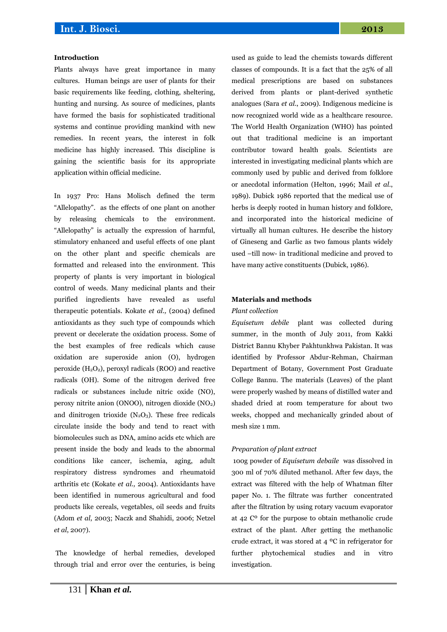#### **Introduction**

Plants always have great importance in many cultures. Human beings are user of plants for their basic requirements like feeding, clothing, sheltering, hunting and nursing. As source of medicines, plants have formed the basis for sophisticated traditional systems and continue providing mankind with new remedies. In recent years, the interest in folk medicine has highly increased. This discipline is gaining the scientific basis for its appropriate application within official medicine.

In 1937 Pro: Hans Molisch defined the term "Allelopathy". as the effects of one plant on another by releasing chemicals to the environment. "Allelopathy" is actually the expression of harmful, stimulatory enhanced and useful effects of one plant on the other plant and specific chemicals are formatted and released into the environment. This property of plants is very important in biological control of weeds. Many medicinal plants and their purified ingredients have revealed as useful therapeutic potentials. Kokate *et al.,* (2004) defined antioxidants as they such type of compounds which prevent or decelerate the oxidation process. Some of the best examples of free redicals which cause oxidation are superoxide anion (O), hydrogen peroxide  $(H_2O_2)$ , peroxyl radicals (ROO) and reactive radicals (OH). Some of the nitrogen derived free radicals or substances include nitric oxide (NO), peroxy nitrite anion (ONOO), nitrogen dioxide (NO2) and dinitrogen trioxide  $(N_2O_3)$ . These free redicals circulate inside the body and tend to react with biomolecules such as DNA, amino acids etc which are present inside the body and leads to the abnormal conditions like cancer, ischemia, aging, adult respiratory distress syndromes and rheumatoid arthritis etc (Kokate *et al.,* 2004). Antioxidants have been identified in numerous agricultural and food products like cereals, vegetables, oil seeds and fruits (Adom *et al*, 2003; Naczk and Shahidi, 2006; Netzel *et al*, 2007).

The knowledge of herbal remedies, developed through trial and error over the centuries, is being used as guide to lead the chemists towards different classes of compounds. It is a fact that the 25% of all medical prescriptions are based on substances derived from plants or plant-derived synthetic analogues (Sara *et al*., 2009). Indigenous medicine is now recognized world wide as a healthcare resource. The World Health Organization (WHO) has pointed out that traditional medicine is an important contributor toward health goals. Scientists are interested in investigating medicinal plants which are commonly used by public and derived from folklore or anecdotal information (Helton, 1996; Mail *et al*., 1989). Dubick 1986 reported that the medical use of herbs is deeply rooted in human history and folklore, and incorporated into the historical medicine of virtually all human cultures. He describe the history of Gineseng and Garlic as two famous plants widely used –till now- in traditional medicine and proved to have many active constituents (Dubick, 1986).

#### **Materials and methods**

#### *Plant collection*

*Equisetum debile* plant was collected during summer, in the month of July 2011, from Kakki District Bannu Khyber Pakhtunkhwa Pakistan. It was identified by Professor Abdur-Rehman, Chairman Department of Botany, Government Post Graduate College Bannu. The materials (Leaves) of the plant were properly washed by means of distilled water and shaded dried at room temperature for about two weeks, chopped and mechanically grinded about of mesh size 1 mm.

#### *Preparation of plant extract*

100g powder of *Equisetum debaile* was dissolved in 300 ml of 70% diluted methanol. After few days, the extract was filtered with the help of Whatman filter paper No. 1. The filtrate was further concentrated after the filtration by using rotary vacuum evaporator at 42 Cº for the purpose to obtain methanolic crude extract of the plant. After getting the methanolic crude extract, it was stored at 4 ºC in refrigerator for further phytochemical studies and in vitro investigation.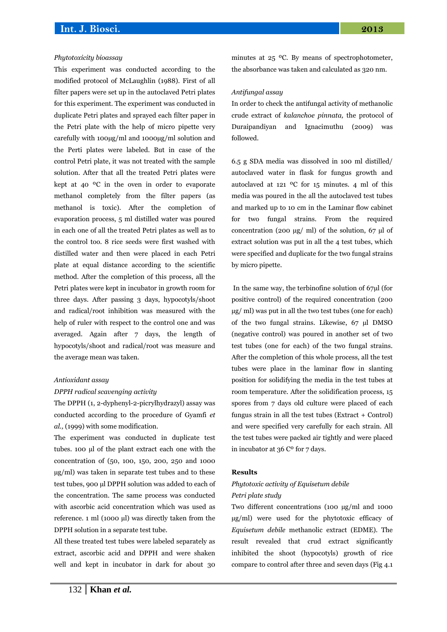#### *Phytotoxicity bioassay*

This experiment was conducted according to the modified protocol of McLaughlin (1988). First of all filter papers were set up in the autoclaved Petri plates for this experiment. The experiment was conducted in duplicate Petri plates and sprayed each filter paper in the Petri plate with the help of micro pipette very carefully with 100µg/ml and 1000µg/ml solution and the Perti plates were labeled. But in case of the control Petri plate, it was not treated with the sample solution. After that all the treated Petri plates were kept at 40 ºC in the oven in order to evaporate methanol completely from the filter papers (as methanol is toxic). After the completion of evaporation process, 5 ml distilled water was poured in each one of all the treated Petri plates as well as to the control too. 8 rice seeds were first washed with distilled water and then were placed in each Petri plate at equal distance according to the scientific method. After the completion of this process, all the Petri plates were kept in incubator in growth room for three days. After passing 3 days, hypocotyls/shoot and radical/root inhibition was measured with the help of ruler with respect to the control one and was averaged. Again after 7 days, the length of hypocotyls/shoot and radical/root was measure and the average mean was taken.

#### *Antioxidant assay*

#### *DPPH radical scavenging activity*

The DPPH (1, 2-dyphenyl-2-picrylhydrazyl) assay was conducted according to the procedure of Gyamfi *et al.,* (1999) with some modification.

The experiment was conducted in duplicate test tubes. 100 µl of the plant extract each one with the concentration of (50, 100, 150, 200, 250 and 1000 µg/ml) was taken in separate test tubes and to these test tubes, 900 µl DPPH solution was added to each of the concentration. The same process was conducted with ascorbic acid concentration which was used as reference. 1 ml (1000 µl) was directly taken from the DPPH solution in a separate test tube.

All these treated test tubes were labeled separately as extract, ascorbic acid and DPPH and were shaken well and kept in incubator in dark for about 30 minutes at 25 ºC. By means of spectrophotometer, the absorbance was taken and calculated as 320 nm.

#### *Antifungal assay*

In order to check the antifungal activity of methanolic crude extract of *kalanchoe pinnata,* the protocol of Duraipandiyan and Ignacimuthu (2009) was followed.

6.5 g SDA media was dissolved in 100 ml distilled/ autoclaved water in flask for fungus growth and autoclaved at 121 ºC for 15 minutes. 4 ml of this media was poured in the all the autoclaved test tubes and marked up to 10 cm in the Laminar flow cabinet for two fungal strains. From the required concentration (200  $\mu$ g/ ml) of the solution, 67  $\mu$ l of extract solution was put in all the 4 test tubes, which were specified and duplicate for the two fungal strains by micro pipette.

In the same way, the terbinofine solution of 67µl (for positive control) of the required concentration (200 µg/ ml) was put in all the two test tubes (one for each) of the two fungal strains. Likewise, 67 µl DMSO (negative control) was poured in another set of two test tubes (one for each) of the two fungal strains. After the completion of this whole process, all the test tubes were place in the laminar flow in slanting position for solidifying the media in the test tubes at room temperature. After the solidification process, 15 spores from 7 days old culture were placed of each fungus strain in all the test tubes (Extract + Control) and were specified very carefully for each strain. All the test tubes were packed air tightly and were placed in incubator at 36 Cº for 7 days.

## **Results**

## *Phytotoxic activity of Equisetum debile Petri plate study*

Two different concentrations (100 µg/ml and 1000 µg/ml) were used for the phytotoxic efficacy of *Equisetum debile* methanolic extract (EDME). The result revealed that crud extract significantly inhibited the shoot (hypocotyls) growth of rice compare to control after three and seven days (Fig 4.1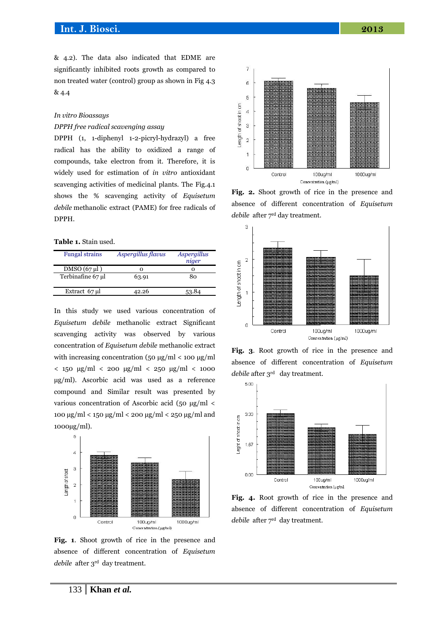& 4.2). The data also indicated that EDME are significantly inhibited roots growth as compared to non treated water (control) group as shown in Fig 4.3 & 4.4

#### *In vitro Bioassays*

### *DPPH free radical scavenging assay*

DPPH (1, 1-diphenyl 1-2-picryl-hydrazyl) a free radical has the ability to oxidized a range of compounds, take electron from it. Therefore, it is widely used for estimation of *in vitro* antioxidant scavenging activities of medicinal plants. The Fig.4.1 shows the % scavenging activity of *Equisetum debile* methanolic extract (PAME) for free radicals of DPPH.

### **Table 1.** Stain used.

| <b>Fungal strains</b> | Aspergillus flavus | Aspergillus<br>niger |
|-----------------------|--------------------|----------------------|
| $DMSO(67 \mu l)$      |                    | O                    |
| Terbinafine 67 µl     | 63.91              | 80                   |
| Extract 67 µl         | 42.26              |                      |

In this study we used various concentration of *Equisetum debile* methanolic extract Significant scavenging activity was observed by various concentration of *Equisetum debile* methanolic extract with increasing concentration (50 μg/ml < 100 μg/ml < 150 μg/ml < 200 μg/ml < 250 μg/ml < 1000 μg/ml). Ascorbic acid was used as a reference compound and Similar result was presented by various concentration of Ascorbic acid (50 μg/ml < 100 μg/ml < 150 μg/ml < 200 μg/ml < 250 μg/ml and 1000µg/ml).



**Fig. 1**. Shoot growth of rice in the presence and absence of different concentration of *Equisetum debile* after 3rd day treatment.



**Fig. 2.** Shoot growth of rice in the presence and absence of different concentration of *Equisetum debile* after 7<sup>rd</sup> day treatment.



**Fig. 3**. Root growth of rice in the presence and absence of different concentration of *Equisetum debile* after 3<sup>rd</sup> day treatment.



**Fig. 4.** Root growth of rice in the presence and absence of different concentration of *Equisetum debile* after 7<sup>rd</sup> day treatment.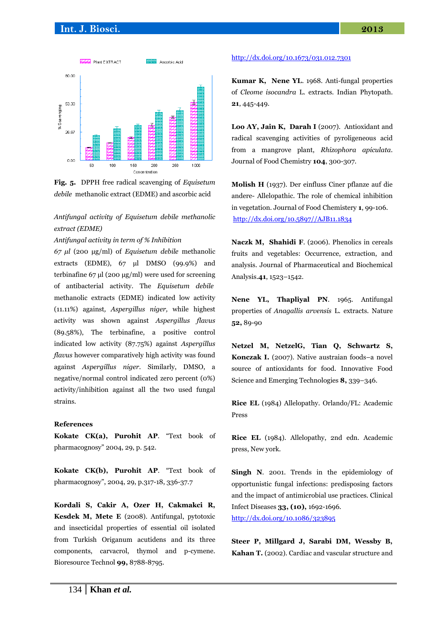

**Fig. 5.** DPPH free radical scavenging of *Equisetum debile* methanolic extract (EDME) and ascorbic acid

*Antifungal activity of Equisetum debile methanolic extract (EDME)*

*Antifungal activity in term of % Inhibition*

*67 μl* (200 μg/ml) of *Equisetum debile* methanolic extracts (EDME), 67 μl DMSO (99.9%) and terbinafine 67 μl (200 μg/ml) were used for screening of antibacterial activity. The *Equisetum debile* methanolic extracts (EDME) indicated low activity (11.11%) against*, Aspergillus niger,* while highest activity was shown against *Aspergillus flavus*  (89.58%), The terbinafine, a positive control indicated low activity (87.75%) against *Aspergillus flavus* however comparatively high activity was found against *Aspergillus niger.* Similarly, DMSO, a negative/normal control indicated zero percent (0%) activity/inhibition against all the two used fungal strains.

### **References**

**Kokate CK(a), Purohit AP**. "Text book of pharmacognosy" 2004, 29, p. 542.

**Kokate CK(b), Purohit AP**. "Text book of pharmacognosy", 2004, 29, p.317-18, 336-37.7

**Kordali S, Cakir A, Ozer H, Cakmakci R, Kesdek M, Mete E** (2008). Antifungal, pytotoxic and insecticidal properties of essential oil isolated from Turkish Origanum acutidens and its three components, carvacrol, thymol and p-cymene. Bioresource Technol **99,** 8788-8795.

#### <http://dx.doi.org/10.1673/031.012.7301>

**Kumar K, Nene YL**. 1968. Anti-fungal properties of *Cleome isocandra* L. extracts. Indian Phytopath. **21**, 445-449.

**Loo AY, Jain K, Darah I** (2007). Antioxidant and radical scavenging activities of pyroligeneous acid from a mangrove plant, *Rhizophora apiculata*. Journal of Food Chemistry **104**, 300-307.

**Molish H** (1937). Der einfluss Ciner pflanze auf die andere- Allelopathic. The role of chemical inhibition in vegetation. Journal of Food Chemistery **1**, 99-106. [http://dx.doi.org/10.5897//AJB11.1834](http://dx.doi.org/10.5897/AJB11.1834)

**Naczk M, Shahidi F**. (2006). Phenolics in cereals fruits and vegetables: Occurrence, extraction, and analysis. Journal of Pharmaceutical and Biochemical Analysis.**41**, 1523–1542.

Nene YL, Thapliyal PN. 1965. Antifungal properties of *Anagallis arvensis* L. extracts. Nature **52,** 89-90

**Netzel M, NetzelG, Tian Q, Schwartz S, Konczak I.** (2007). Native austraian foods–a novel source of antioxidants for food. Innovative Food Science and Emerging Technologies **8,** 339–346.

**Rice EL** (1984) Allelopathy. Orlando/FL: Academic Press

**Rice EL** (1984). Allelopathy, 2nd edn. Academic press, New york.

**Singh N**. 2001. Trends in the epidemiology of opportunistic fungal infections: predisposing factors and the impact of antimicrobial use practices. Clinical Infect Diseases **33, (10),** 1692-1696. <http://dx.doi.org/10.1086/323895>

**Steer P, Millgard J, Sarabi DM, Wessby B, Kahan T.** (2002). Cardiac and vascular structure and